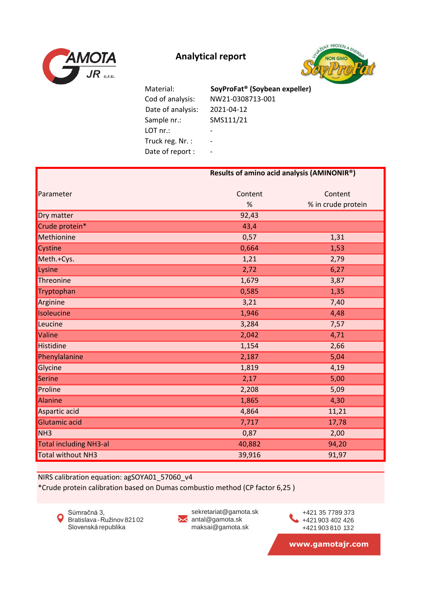



 Cod of analysis: NW21-0308713-001 Date of analysis: 2021-04-12 Sample nr.: SMS111/21 LOT nr.: - Truck reg. Nr. : -Date of report : -Material: **SoyProFat® (Soybean expeller)**

|                               | Results of amino acid analysis (AMINONIR®) |                    |
|-------------------------------|--------------------------------------------|--------------------|
|                               |                                            |                    |
| Parameter                     | Content                                    | Content            |
|                               | %                                          | % in crude protein |
| Dry matter                    | 92,43                                      |                    |
| Crude protein*                | 43,4                                       |                    |
| Methionine                    | 0,57                                       | 1,31               |
| Cystine                       | 0,664                                      | 1,53               |
| Meth.+Cys.                    | 1,21                                       | 2,79               |
| Lysine                        | 2,72                                       | 6,27               |
| Threonine                     | 1,679                                      | 3,87               |
| Tryptophan                    | 0,585                                      | 1,35               |
| Arginine                      | 3,21                                       | 7,40               |
| Isoleucine                    | 1,946                                      | 4,48               |
| Leucine                       | 3,284                                      | 7,57               |
| Valine                        | 2,042                                      | 4,71               |
| Histidine                     | 1,154                                      | 2,66               |
| Phenylalanine                 | 2,187                                      | 5,04               |
| Glycine                       | 1,819                                      | 4,19               |
| Serine                        | 2,17                                       | 5,00               |
| Proline                       | 2,208                                      | 5,09               |
| Alanine                       | 1,865                                      | 4,30               |
| Aspartic acid                 | 4,864                                      | 11,21              |
| Glutamic acid                 | 7,717                                      | 17,78              |
| NH <sub>3</sub>               | 0,87                                       | 2,00               |
| <b>Total including NH3-al</b> | 40,882                                     | 94,20              |
| <b>Total without NH3</b>      | 39,916                                     | 91,97              |

NIRS calibration equation: agSOYA01\_57060\_v4

\*Crude protein calibration based on Dumas combustio method (CP factor 6,25 )



sekretariat@gamota.sk ✕ antal@gamota.sk maksai@gamota.sk

+421 903 402 426 +421 903 810 132 +421 35 7789 373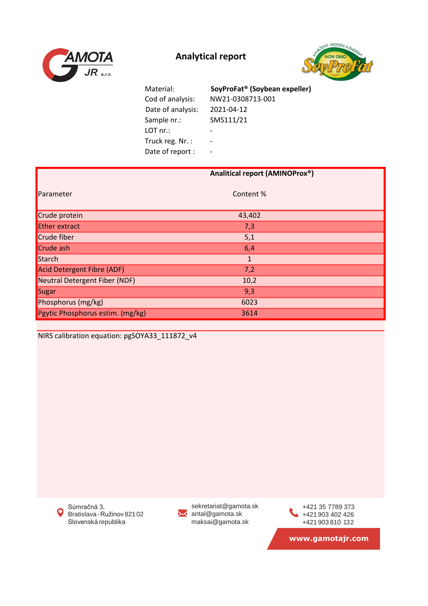



| Material:         | SoyProFat <sup>®</sup> (Soybean expeller) |
|-------------------|-------------------------------------------|
| Cod of analysis:  | NW21-0308713-001                          |
| Date of analysis: | 2021-04-12                                |
| Sample nr.:       | SMS111/21                                 |
| LOT nr.           | $\overline{\phantom{0}}$                  |
| Truck reg. Nr.:   | $\overline{\phantom{0}}$                  |
| Date of report :  |                                           |

|                                  | Analitical report (AMINOProx®) |
|----------------------------------|--------------------------------|
| Parameter                        | Content%                       |
| Crude protein                    | 43,402                         |
| <b>Ether extract</b>             | 7,3                            |
| Crude fiber                      | 5,1                            |
| Crude ash                        | 6,4                            |
| Starch                           | $\mathbf{1}$                   |
| Acid Detergent Fibre (ADF)       | 7,2                            |
| Neutral Detergent Fiber (NDF)    | 10,2                           |
| Sugar                            | 9,3                            |
| Phosphorus (mg/kg)               | 6023                           |
| Pgytic Phosphorus estim. (mg/kg) | 3614                           |

NIRS calibration equation: pgSOYA33\_111872\_v4

Súmračná 3,  $\mathbf Q$ Bratislava-Ružinov 82102 Slovenská republika

sekretariat@gamota.sk antal@gamota.sk maksai@gamota.sk

+421 903 402 426 +421 903 810 132 +421 35 7789 373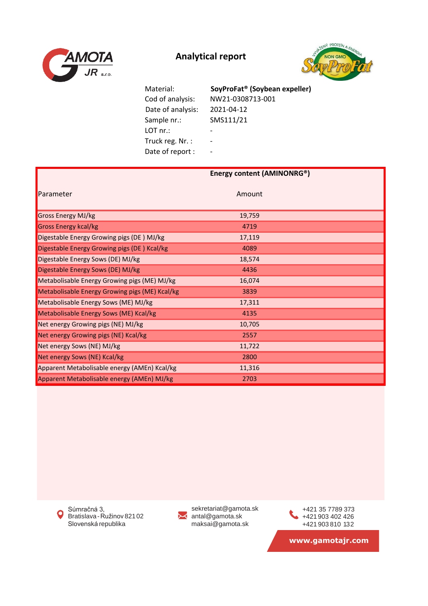



 Cod of analysis: NW21-0308713-001 Date of analysis: 2021-04-12 Sample nr.: SMS111/21 LOT nr.: - Truck reg. Nr. : -Date of report : -Material: **SoyProFat® (Soybean expeller)**

|                                                | Energy content (AMINONRG®) |  |
|------------------------------------------------|----------------------------|--|
| Parameter                                      | Amount                     |  |
| Gross Energy MJ/kg                             | 19,759                     |  |
| <b>Gross Energy kcal/kg</b>                    | 4719                       |  |
| Digestable Energy Growing pigs (DE) MJ/kg      | 17,119                     |  |
| Digestable Energy Growing pigs (DE) Kcal/kg    | 4089                       |  |
| Digestable Energy Sows (DE) MJ/kg              | 18,574                     |  |
| Digestable Energy Sows (DE) MJ/kg              | 4436                       |  |
| Metabolisable Energy Growing pigs (ME) MJ/kg   | 16,074                     |  |
| Metabolisable Energy Growing pigs (ME) Kcal/kg | 3839                       |  |
| Metabolisable Energy Sows (ME) MJ/kg           | 17,311                     |  |
| Metabolisable Energy Sows (ME) Kcal/kg         | 4135                       |  |
| Net energy Growing pigs (NE) MJ/kg             | 10,705                     |  |
| Net energy Growing pigs (NE) Kcal/kg           | 2557                       |  |
| Net energy Sows (NE) MJ/kg                     | 11,722                     |  |
| Net energy Sows (NE) Kcal/kg                   | 2800                       |  |
| Apparent Metabolisable energy (AMEn) Kcal/kg   | 11,316                     |  |
| Apparent Metabolisable energy (AMEn) MJ/kg     | 2703                       |  |

Súmračná 3,  $\bullet$ Bratislava-Ružinov 82102 Slovenská republika



sekretariat@gamota.sk antal@gamota.sk maksai@gamota.sk

+421 903 402 426 +421 903 810 132 +421 35 7789 373